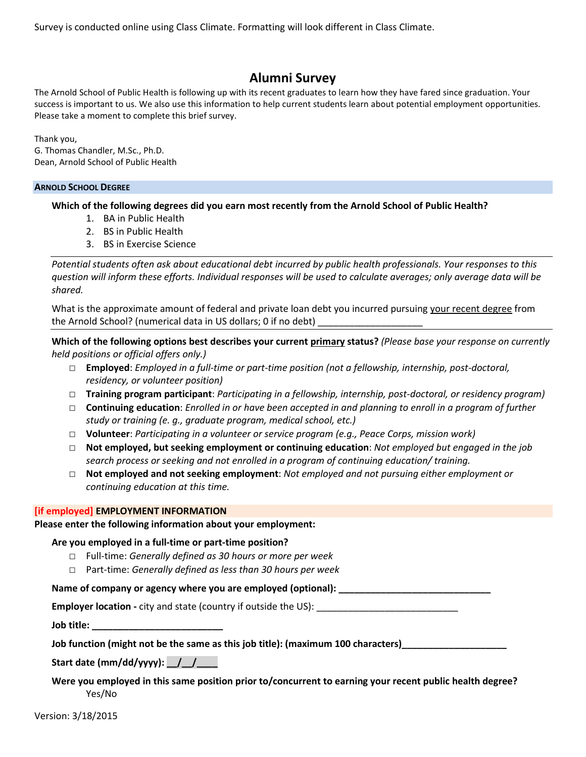Survey is conducted online using Class Climate. Formatting will look different in Class Climate.

# **Alumni Survey**

The Arnold School of Public Health is following up with its recent graduates to learn how they have fared since graduation. Your success is important to us. We also use this information to help current students learn about potential employment opportunities. Please take a moment to complete this brief survey.

Thank you, G. Thomas Chandler, M.Sc., Ph.D. Dean, Arnold School of Public Health

#### **ARNOLD SCHOOL DEGREE**

**Which of the following degrees did you earn most recently from the Arnold School of Public Health?**

- 1. BA in Public Health
- 2. BS in Public Health
- 3. BS in Exercise Science

*Potential students often ask about educational debt incurred by public health professionals. Your responses to this question will inform these efforts. Individual responses will be used to calculate averages; only average data will be shared.*

What is the approximate amount of federal and private loan debt you incurred pursuing your recent degree from the Arnold School? (numerical data in US dollars; 0 if no debt)

**Which of the following options best describes your current primary status?** *(Please base your response on currently held positions or official offers only.)*

- □ **Employed**: *Employed in a full-time or part-time position (not a fellowship, internship, post-doctoral, residency, or volunteer position)*
- □ **Training program participant**: *Participating in a fellowship, internship, post-doctoral, or residency program)*
- □ **Continuing education**: *Enrolled in or have been accepted in and planning to enroll in a program of further study or training (e. g., graduate program, medical school, etc.)*
- □ **Volunteer**: *Participating in a volunteer or service program (e.g., Peace Corps, mission work)*
- □ **Not employed, but seeking employment or continuing education**: *Not employed but engaged in the job search process or seeking and not enrolled in a program of continuing education/ training.*
- □ **Not employed and not seeking employment**: *Not employed and not pursuing either employment or continuing education at this time.*

#### **[if employed] EMPLOYMENT INFORMATION**

**Please enter the following information about your employment:**

## **Are you employed in a full-time or part-time position?**

- □ Full-time: *Generally defined as 30 hours or more per week*
- □ Part-time: *Generally defined as less than 30 hours per week*

## **Name of company or agency where you are employed (optional): \_\_\_\_\_\_\_\_\_\_\_\_\_\_\_\_\_\_\_\_\_\_\_\_\_\_\_\_\_**

**Employer location** - city and state (country if outside the US):

**Job title: \_\_\_\_\_\_\_\_\_\_\_\_\_\_\_\_\_\_\_\_\_\_\_\_\_**

Job function (might not be the same as this job title): (maximum 100 characters)\_\_\_\_\_\_\_

**Start date (mm/dd/yyyy): \_\_/\_\_/\_\_\_\_**

**Were you employed in this same position prior to/concurrent to earning your recent public health degree?** Yes/No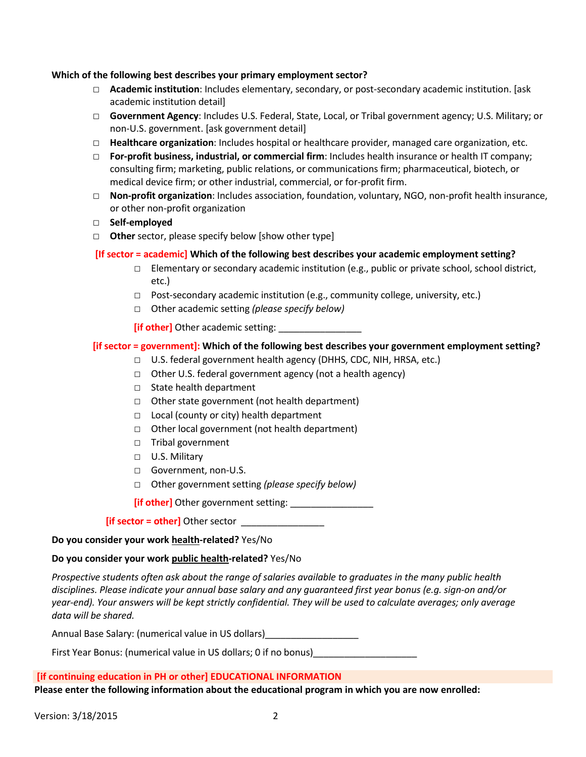### **Which of the following best describes your primary employment sector?**

- □ **Academic institution**: Includes elementary, secondary, or post-secondary academic institution. [ask academic institution detail]
- □ **Government Agency**: Includes U.S. Federal, State, Local, or Tribal government agency; U.S. Military; or non-U.S. government. [ask government detail]
- □ **Healthcare organization**: Includes hospital or healthcare provider, managed care organization, etc.
- □ **For-profit business, industrial, or commercial firm**: Includes health insurance or health IT company; consulting firm; marketing, public relations, or communications firm; pharmaceutical, biotech, or medical device firm; or other industrial, commercial, or for-profit firm.
- □ **Non-profit organization**: Includes association, foundation, voluntary, NGO, non-profit health insurance, or other non-profit organization
- □ **Self-employed**
- □ **Other** sector, please specify below [show other type]

# **[If sector = academic] Which of the following best describes your academic employment setting?**

- □ Elementary or secondary academic institution (e.g., public or private school, school district, etc.)
- □ Post-secondary academic institution (e.g., community college, university, etc.)
- □ Other academic setting *(please specify below)*

*if other]* Other academic setting:

# **[if sector = government]: Which of the following best describes your government employment setting?**

- $\Box$  U.S. federal government health agency (DHHS, CDC, NIH, HRSA, etc.)
- □ Other U.S. federal government agency (not a health agency)
- □ State health department
- □ Other state government (not health department)
- □ Local (county or city) health department
- □ Other local government (not health department)
- □ Tribal government
- □ U.S. Military
- □ Government, non-U.S.
- □ Other government setting *(please specify below)*

**[if other]** Other government setting: \_\_\_\_\_\_\_\_\_\_\_\_\_\_\_\_

**[if sector = other]** Other sector \_\_\_\_\_\_\_

**Do you consider your work health-related?** Yes/No

## **Do you consider your work public health-related?** Yes/No

*Prospective students often ask about the range of salaries available to graduates in the many public health disciplines. Please indicate your annual base salary and any guaranteed first year bonus (e.g. sign-on and/or year-end). Your answers will be kept strictly confidential. They will be used to calculate averages; only average data will be shared.*

Annual Base Salary: (numerical value in US dollars)\_\_\_\_\_\_\_\_\_\_\_\_\_\_\_\_\_\_\_\_\_\_\_\_\_\_\_\_\_

First Year Bonus: (numerical value in US dollars; 0 if no bonus)

## **[if continuing education in PH or other] EDUCATIONAL INFORMATION**

**Please enter the following information about the educational program in which you are now enrolled:**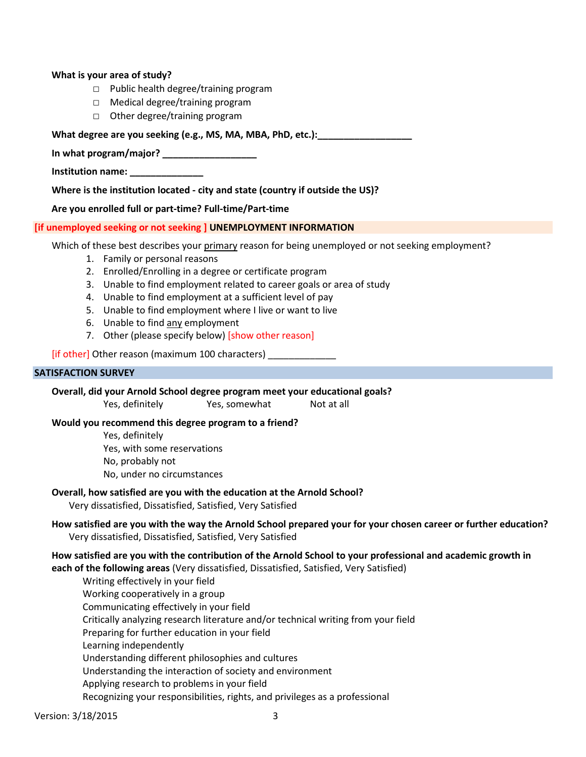### **What is your area of study?**

- □ Public health degree/training program
- □ Medical degree/training program
- □ Other degree/training program

#### What degree are you seeking (e.g., MS, MA, MBA, PhD, etc.):

**In what program/major? \_\_\_\_\_\_\_\_\_\_\_\_\_\_\_\_\_\_**

**Institution name: \_\_\_\_\_\_\_\_\_\_\_\_\_\_**

**Where is the institution located - city and state (country if outside the US)?**

**Are you enrolled full or part-time? Full-time/Part-time** 

#### **[if unemployed seeking or not seeking ] UNEMPLOYMENT INFORMATION**

Which of these best describes your primary reason for being unemployed or not seeking employment?

- 1. Family or personal reasons
- 2. Enrolled/Enrolling in a degree or certificate program
- 3. Unable to find employment related to career goals or area of study
- 4. Unable to find employment at a sufficient level of pay
- 5. Unable to find employment where I live or want to live
- 6. Unable to find any employment
- 7. Other (please specify below) [show other reason]

[if other] Other reason (maximum 100 characters)

#### **SATISFACTION SURVEY**

**Overall, did your Arnold School degree program meet your educational goals?**

Yes, definitely Yes, somewhat Not at all

#### **Would you recommend this degree program to a friend?**

- Yes, definitely
- Yes, with some reservations
- No, probably not
- No, under no circumstances

#### **Overall, how satisfied are you with the education at the Arnold School?**

Very dissatisfied, Dissatisfied, Satisfied, Very Satisfied

## **How satisfied are you with the way the Arnold School prepared your for your chosen career or further education?** Very dissatisfied, Dissatisfied, Satisfied, Very Satisfied

#### **How satisfied are you with the contribution of the Arnold School to your professional and academic growth in each of the following areas** (Very dissatisfied, Dissatisfied, Satisfied, Very Satisfied)

Writing effectively in your field Working cooperatively in a group Communicating effectively in your field Critically analyzing research literature and/or technical writing from your field Preparing for further education in your field Learning independently Understanding different philosophies and cultures Understanding the interaction of society and environment Applying research to problems in your field Recognizing your responsibilities, rights, and privileges as a professional